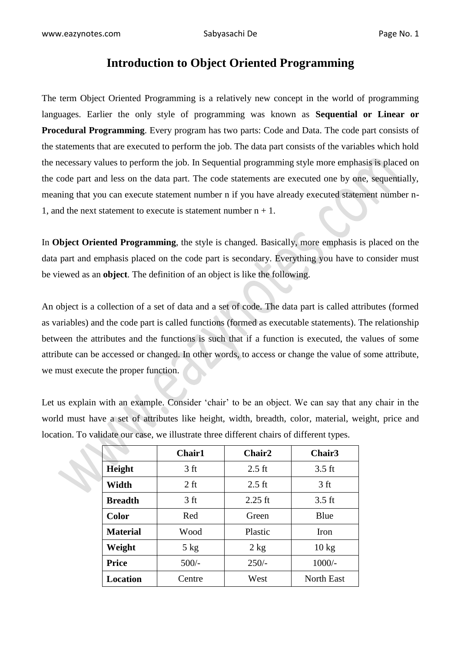# **Introduction to Object Oriented Programming**

The term Object Oriented Programming is a relatively new concept in the world of programming languages. Earlier the only style of programming was known as **Sequential or Linear or Procedural Programming**. Every program has two parts: Code and Data. The code part consists of the statements that are executed to perform the job. The data part consists of the variables which hold the necessary values to perform the job. In Sequential programming style more emphasis is placed on the code part and less on the data part. The code statements are executed one by one, sequentially, meaning that you can execute statement number n if you have already executed statement number n-1, and the next statement to execute is statement number  $n + 1$ .

In **Object Oriented Programming**, the style is changed. Basically, more emphasis is placed on the data part and emphasis placed on the code part is secondary. Everything you have to consider must be viewed as an **object**. The definition of an object is like the following.

An object is a collection of a set of data and a set of code. The data part is called attributes (formed as variables) and the code part is called functions (formed as executable statements). The relationship between the attributes and the functions is such that if a function is executed, the values of some attribute can be accessed or changed. In other words, to access or change the value of some attribute, we must execute the proper function.

Let us explain with an example. Consider 'chair' to be an object. We can say that any chair in the world must have a set of attributes like height, width, breadth, color, material, weight, price and location. To validate our case, we illustrate three different chairs of different types.

|                 | <b>Chair1</b>   | Chair2           | Chair <sub>3</sub> |
|-----------------|-----------------|------------------|--------------------|
| Height          | 3 ft            | $2.5 \text{ ft}$ | $3.5$ ft           |
| Width           | $2$ ft          | $2.5$ ft         | 3 <sub>ft</sub>    |
| <b>Breadth</b>  | 3 <sub>ft</sub> | $2.25$ ft        | $3.5$ ft           |
| Color           | Red             | Green            | Blue               |
| <b>Material</b> | Wood            | Plastic          | Iron               |
| Weight          | $5$ kg          | $2$ kg           | $10 \text{ kg}$    |
| <b>Price</b>    | $500/-$         | $250/-$          | $1000/-$           |
| <b>Location</b> | Centre          | West             | <b>North East</b>  |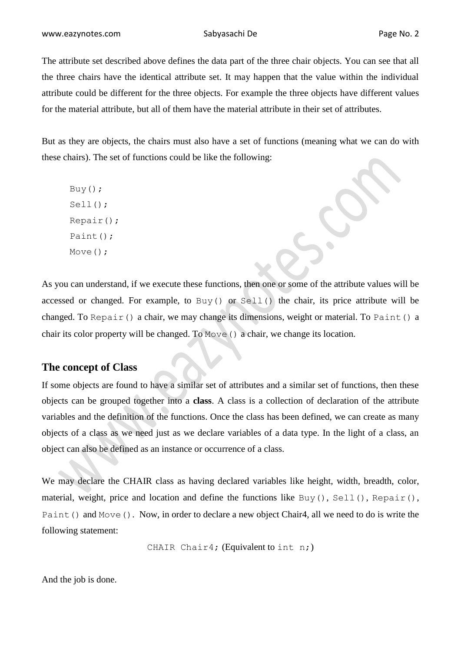The attribute set described above defines the data part of the three chair objects. You can see that all the three chairs have the identical attribute set. It may happen that the value within the individual attribute could be different for the three objects. For example the three objects have different values for the material attribute, but all of them have the material attribute in their set of attributes.

But as they are objects, the chairs must also have a set of functions (meaning what we can do with these chairs). The set of functions could be like the following:

Buy(); Sell(); Repair(); Paint(); Move();

As you can understand, if we execute these functions, then one or some of the attribute values will be accessed or changed. For example, to Buy() or Sell() the chair, its price attribute will be changed. To Repair() a chair, we may change its dimensions, weight or material. To Paint() a chair its color property will be changed. To Move() a chair, we change its location.

### **The concept of Class**

If some objects are found to have a similar set of attributes and a similar set of functions, then these objects can be grouped together into a **class**. A class is a collection of declaration of the attribute variables and the definition of the functions. Once the class has been defined, we can create as many objects of a class as we need just as we declare variables of a data type. In the light of a class, an object can also be defined as an instance or occurrence of a class.

We may declare the CHAIR class as having declared variables like height, width, breadth, color, material, weight, price and location and define the functions like Buy(), Sell(), Repair(), Paint() and Move(). Now, in order to declare a new object Chair4, all we need to do is write the following statement:

CHAIR Chair4; (Equivalent to int n;)

And the job is done.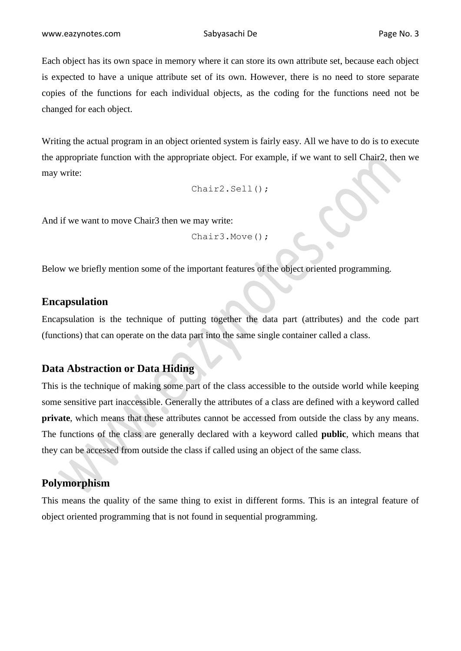Each object has its own space in memory where it can store its own attribute set, because each object is expected to have a unique attribute set of its own. However, there is no need to store separate copies of the functions for each individual objects, as the coding for the functions need not be changed for each object.

Writing the actual program in an object oriented system is fairly easy. All we have to do is to execute the appropriate function with the appropriate object. For example, if we want to sell Chair2, then we may write:

```
Chair2.Sell();
```
And if we want to move Chair3 then we may write:

```
Chair3.Move();
```
Below we briefly mention some of the important features of the object oriented programming.

### **Encapsulation**

Encapsulation is the technique of putting together the data part (attributes) and the code part (functions) that can operate on the data part into the same single container called a class.

## **Data Abstraction or Data Hiding**

This is the technique of making some part of the class accessible to the outside world while keeping some sensitive part inaccessible. Generally the attributes of a class are defined with a keyword called **private**, which means that these attributes cannot be accessed from outside the class by any means. The functions of the class are generally declared with a keyword called **public**, which means that they can be accessed from outside the class if called using an object of the same class.

### **Polymorphism**

This means the quality of the same thing to exist in different forms. This is an integral feature of object oriented programming that is not found in sequential programming.